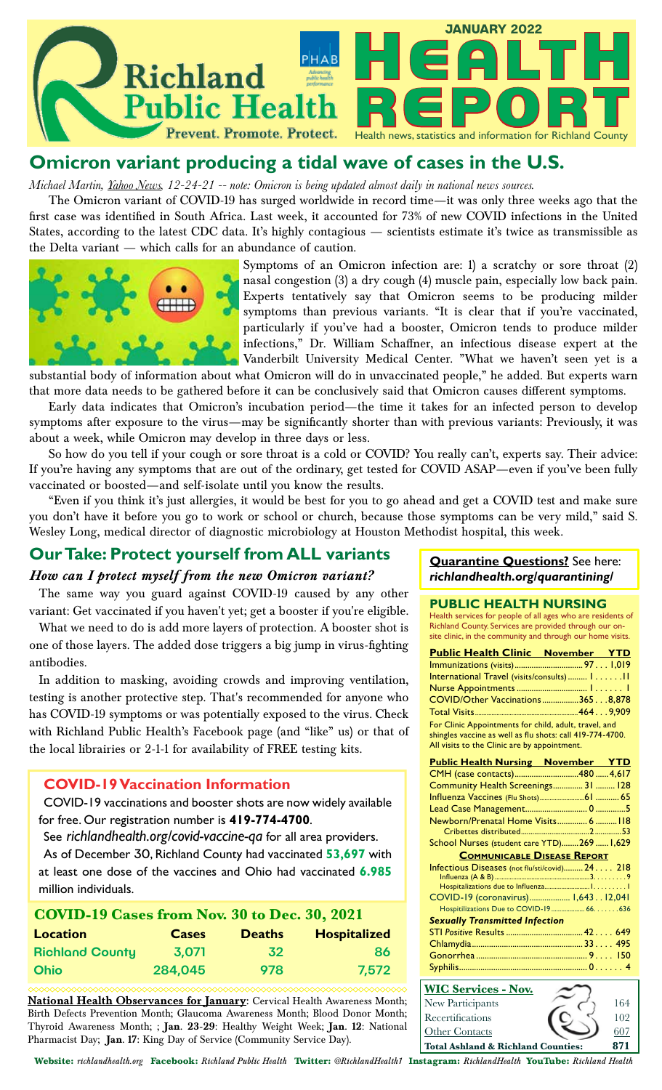

## **Omicron variant producing a tidal wave of cases in the U.S.**

*Michael Martin, Yahoo News, 12-24-21 -- note: Omicron is being updated almost daily in national news sources.*

The Omicron variant of COVID-19 has surged worldwide in record time—it was only three weeks ago that the first case was identified in South Africa. Last week, it accounted for 73% of new COVID infections in the United States, according to the latest CDC data. It's highly contagious — scientists estimate it's twice as transmissible as the Delta variant — which calls for an abundance of caution.



Symptoms of an Omicron infection are: 1) a scratchy or sore throat (2) nasal congestion (3) a dry cough (4) muscle pain, especially low back pain. Experts tentatively say that Omicron seems to be producing milder symptoms than previous variants. "It is clear that if you're vaccinated, particularly if you've had a booster, Omicron tends to produce milder infections," Dr. William Schaffner, an infectious disease expert at the Vanderbilt University Medical Center. "What we haven't seen yet is a

substantial body of information about what Omicron will do in unvaccinated people," he added. But experts warn that more data needs to be gathered before it can be conclusively said that Omicron causes different symptoms.

Early data indicates that Omicron's incubation period—the time it takes for an infected person to develop symptoms after exposure to the virus—may be significantly shorter than with previous variants: Previously, it was about a week, while Omicron may develop in three days or less.

So how do you tell if your cough or sore throat is a cold or COVID? You really can't, experts say. Their advice: If you're having any symptoms that are out of the ordinary, get tested for COVID ASAP—even if you've been fully vaccinated or boosted—and self-isolate until you know the results.

"Even if you think it's just allergies, it would be best for you to go ahead and get a COVID test and make sure you don't have it before you go to work or school or church, because those symptoms can be very mild," said S. Wesley Long, medical director of diagnostic microbiology at Houston Methodist hospital, this week.

## **Our Take: Protect yourself from ALL variants**

### *How can I protect myself from the new Omicron variant?*

The same way you guard against COVID-19 caused by any other variant: Get vaccinated if you haven't yet; get a booster if you're eligible.

What we need to do is add more layers of protection. A booster shot is one of those layers. The added dose triggers a big jump in virus-fighting antibodies.

In addition to masking, avoiding crowds and improving ventilation, testing is another protective step. That's recommended for anyone who has COVID-19 symptoms or was potentially exposed to the virus. Check with Richland Public Health's Facebook page (and "like" us) or that of the local librairies or 2-1-1 for availability of FREE testing kits.

### **COVID-19 Vaccination Information**

COVID-19 vaccinations and booster shots are now widely available for free. Our registration number is **419-774-4700**.

See *richlandhealth.org/covid-vaccine-qa* for all area providers. As of December 30, Richland County had vaccinated **53,697** with at least one dose of the vaccines and Ohio had vaccinated **6.985** million individuals.

| COVID-19 Cases from Nov. 30 to Dec. 30, 2021 |              |               |                     |  |  |
|----------------------------------------------|--------------|---------------|---------------------|--|--|
| <b>Location</b>                              | <b>Cases</b> | <b>Deaths</b> | <b>Hospitalized</b> |  |  |
| <b>Richland County</b>                       | 3,071        | 32            | 86                  |  |  |
| <b>Ohio</b>                                  | 284.045      | 978           | 7,572               |  |  |

**National Health Observances for January:** Cervical Health Awareness Month; Birth Defects Prevention Month; Glaucoma Awareness Month; Blood Donor Month; Thyroid Awareness Month; ; **Jan. 23-29**: Healthy Weight Week; **Jan. 12**: National Pharmacist Day; **Jan. 17:** King Day of Service (Community Service Day).

### **Quarantine Questions?** See here: *richlandhealth.org/quarantining/*

### **PUBLIC HEALTH NURSING**

Health services for people of all ages who are residents of Richland County. Services are provided through our onsite clinic, in the community and through our home visits.

| <b>Public Health Clinic November YTD</b>                                            |  |  |  |  |  |
|-------------------------------------------------------------------------------------|--|--|--|--|--|
|                                                                                     |  |  |  |  |  |
| International Travel (visits/consults)  111                                         |  |  |  |  |  |
|                                                                                     |  |  |  |  |  |
| COVID/Other Vaccinations3658,878                                                    |  |  |  |  |  |
|                                                                                     |  |  |  |  |  |
| For Clinic Appointments for child, adult, travel, and                               |  |  |  |  |  |
| shingles vaccine as well as flu shots: call 419-774-4700.                           |  |  |  |  |  |
| All visits to the Clinic are by appointment.                                        |  |  |  |  |  |
| <b>Public Health Nursing November YTD</b>                                           |  |  |  |  |  |
| CMH (case contacts)480 4,617                                                        |  |  |  |  |  |
| Community Health Screenings 31  128                                                 |  |  |  |  |  |
|                                                                                     |  |  |  |  |  |
|                                                                                     |  |  |  |  |  |
| Newborn/Prenatal Home Visits 6  118                                                 |  |  |  |  |  |
|                                                                                     |  |  |  |  |  |
| School Nurses (student care YTD)269  1,629                                          |  |  |  |  |  |
| <b>COMMUNICABLE DISEASE REPORT</b>                                                  |  |  |  |  |  |
| Infectious Diseases (not flu/sti/covid) 24. 218                                     |  |  |  |  |  |
|                                                                                     |  |  |  |  |  |
|                                                                                     |  |  |  |  |  |
| COVID-19 (coronavirus) 1,64312,041                                                  |  |  |  |  |  |
|                                                                                     |  |  |  |  |  |
| <b>Sexually Transmitted Infection</b>                                               |  |  |  |  |  |
|                                                                                     |  |  |  |  |  |
|                                                                                     |  |  |  |  |  |
|                                                                                     |  |  |  |  |  |
|                                                                                     |  |  |  |  |  |
| <b>WIC Services - Nov.</b>                                                          |  |  |  |  |  |
| $\mathbf{n} \rightarrow \mathbf{A}$<br>$\overline{1}$ $\overline{C}$ $\overline{A}$ |  |  |  |  |  |

| <u>  WIC Services - Nov.</u>       |  |      |
|------------------------------------|--|------|
| New Participants                   |  | 164  |
| Recertifications                   |  | 102  |
| <b>Other Contacts</b>              |  | ≤Ω7- |
| Total Ashland & Richland Counties: |  | 871  |

Website: *richlandhealth.org* Facebook: *Richland Public Health* Twitter: *@RichlandHealth1* Instagram: *RichlandHealth* YouTube: *Richland Health*